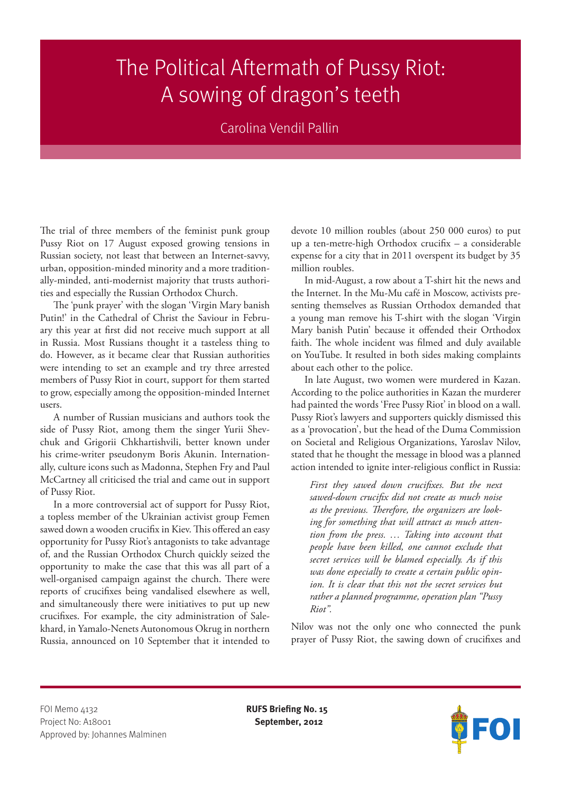## The Political Aftermath of Pussy Riot: A sowing of dragon's teeth

## Carolina Vendil Pallin

The trial of three members of the feminist punk group Pussy Riot on 17 August exposed growing tensions in Russian society, not least that between an Internet-savvy, urban, opposition-minded minority and a more traditionally-minded, anti-modernist majority that trusts authorities and especially the Russian Orthodox Church.

The 'punk prayer' with the slogan 'Virgin Mary banish Putin!' in the Cathedral of Christ the Saviour in February this year at first did not receive much support at all in Russia. Most Russians thought it a tasteless thing to do. However, as it became clear that Russian authorities were intending to set an example and try three arrested members of Pussy Riot in court, support for them started to grow, especially among the opposition-minded Internet users.

A number of Russian musicians and authors took the side of Pussy Riot, among them the singer Yurii Shevchuk and Grigorii Chkhartishvili, better known under his crime-writer pseudonym Boris Akunin. Internationally, culture icons such as Madonna, Stephen Fry and Paul McCartney all criticised the trial and came out in support of Pussy Riot.

In a more controversial act of support for Pussy Riot, a topless member of the Ukrainian activist group Femen sawed down a wooden crucifix in Kiev. This offered an easy opportunity for Pussy Riot's antagonists to take advantage of, and the Russian Orthodox Church quickly seized the opportunity to make the case that this was all part of a well-organised campaign against the church. There were reports of crucifixes being vandalised elsewhere as well, and simultaneously there were initiatives to put up new crucifixes. For example, the city administration of Salekhard, in Yamalo-Nenets Autonomous Okrug in northern Russia, announced on 10 September that it intended to devote 10 million roubles (about 250 000 euros) to put up a ten-metre-high Orthodox crucifix – a considerable expense for a city that in 2011 overspent its budget by 35 million roubles.

In mid-August, a row about a T-shirt hit the news and the Internet. In the Mu-Mu café in Moscow, activists presenting themselves as Russian Orthodox demanded that a young man remove his T-shirt with the slogan 'Virgin Mary banish Putin' because it offended their Orthodox faith. The whole incident was filmed and duly available on YouTube. It resulted in both sides making complaints about each other to the police.

In late August, two women were murdered in Kazan. According to the police authorities in Kazan the murderer had painted the words 'Free Pussy Riot' in blood on a wall. Pussy Riot's lawyers and supporters quickly dismissed this as a 'provocation', but the head of the Duma Commission on Societal and Religious Organizations, Yaroslav Nilov, stated that he thought the message in blood was a planned action intended to ignite inter-religious conflict in Russia:

*First they sawed down crucifixes. But the next sawed-down crucifix did not create as much noise as the previous. Therefore, the organizers are looking for something that will attract as much attention from the press. … Taking into account that people have been killed, one cannot exclude that secret services will be blamed especially. As if this was done especially to create a certain public opinion. It is clear that this not the secret services but rather a planned programme, operation plan "Pussy Riot".*

Nilov was not the only one who connected the punk prayer of Pussy Riot, the sawing down of crucifixes and

FOI Memo 4132 **RUFS Briefing No. 15** Project No: A18001 **September, 2012** Approved by: Johannes Malminen